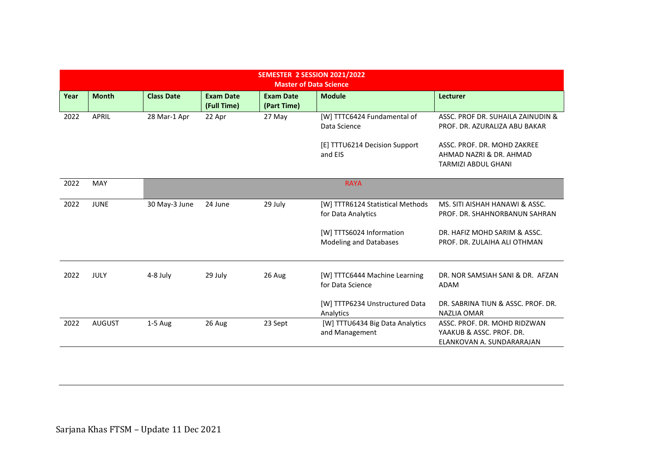|      |               |                   |                                 | SEMESTER 2 SESSION 2021/2022<br><b>Master of Data Science</b> |                                                           |                                                                                       |
|------|---------------|-------------------|---------------------------------|---------------------------------------------------------------|-----------------------------------------------------------|---------------------------------------------------------------------------------------|
| Year | <b>Month</b>  | <b>Class Date</b> | <b>Exam Date</b><br>(Full Time) | <b>Exam Date</b><br>(Part Time)                               | <b>Module</b>                                             | <b>Lecturer</b>                                                                       |
| 2022 | <b>APRIL</b>  | 28 Mar-1 Apr      | 22 Apr                          | 27 May                                                        | [W] TTTC6424 Fundamental of<br>Data Science               | ASSC. PROF DR. SUHAILA ZAINUDIN &<br>PROF. DR. AZURALIZA ABU BAKAR                    |
|      |               |                   |                                 |                                                               | [E] TTTU6214 Decision Support<br>and EIS                  | ASSC. PROF. DR. MOHD ZAKREE<br>AHMAD NAZRI & DR. AHMAD<br><b>TARMIZI ABDUL GHANI</b>  |
| 2022 | MAY           |                   |                                 |                                                               | <b>RAYA</b>                                               |                                                                                       |
| 2022 | <b>JUNE</b>   | 30 May-3 June     | 24 June                         | 29 July                                                       | [W] TTTR6124 Statistical Methods<br>for Data Analytics    | MS. SITI AISHAH HANAWI & ASSC.<br>PROF. DR. SHAHNORBANUN SAHRAN                       |
|      |               |                   |                                 |                                                               | [W] TTTS6024 Information<br><b>Modeling and Databases</b> | DR. HAFIZ MOHD SARIM & ASSC.<br>PROF. DR. ZULAIHA ALI OTHMAN                          |
| 2022 | <b>JULY</b>   | 4-8 July          | 29 July                         | 26 Aug                                                        | [W] TTTC6444 Machine Learning<br>for Data Science         | DR. NOR SAMSIAH SANI & DR. AFZAN<br><b>ADAM</b>                                       |
|      |               |                   |                                 |                                                               | [W] TTTP6234 Unstructured Data<br>Analytics               | DR. SABRINA TIUN & ASSC. PROF. DR.<br><b>NAZLIA OMAR</b>                              |
| 2022 | <b>AUGUST</b> | $1-5$ Aug         | 26 Aug                          | 23 Sept                                                       | [W] TTTU6434 Big Data Analytics<br>and Management         | ASSC. PROF. DR. MOHD RIDZWAN<br>YAAKUB & ASSC. PROF. DR.<br>ELANKOVAN A. SUNDARARAJAN |